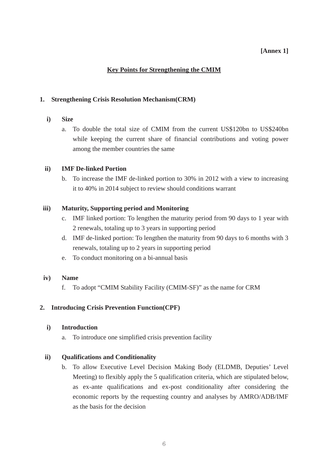## **[Annex 1]**

# **Key Points for Strengthening the CMIM**

### **1. Strengthening Crisis Resolution Mechanism(CRM)**

- **i) Size** 
	- a. To double the total size of CMIM from the current US\$120bn to US\$240bn while keeping the current share of financial contributions and voting power among the member countries the same

### **ii) IMF De-linked Portion**

b. To increase the IMF de-linked portion to 30% in 2012 with a view to increasing it to 40% in 2014 subject to review should conditions warrant

### **iii) Maturity, Supporting period and Monitoring**

- c. IMF linked portion: To lengthen the maturity period from 90 days to 1 year with 2 renewals, totaling up to 3 years in supporting period
- d. IMF de-linked portion: To lengthen the maturity from 90 days to 6 months with 3 renewals, totaling up to 2 years in supporting period
- e. To conduct monitoring on a bi-annual basis

#### **iv) Name**

f. To adopt "CMIM Stability Facility (CMIM-SF)" as the name for CRM

## **2. Introducing Crisis Prevention Function(CPF)**

#### **i) Introduction**

a. To introduce one simplified crisis prevention facility

#### **ii) Qualifications and Conditionality**

b. To allow Executive Level Decision Making Body (ELDMB, Deputies' Level Meeting) to flexibly apply the 5 qualification criteria, which are stipulated below. as ex-ante qualifications and ex-post conditionality after considering the economic reports by the requesting country and analyses by AMRO/ADB/IMF as the basis for the decision